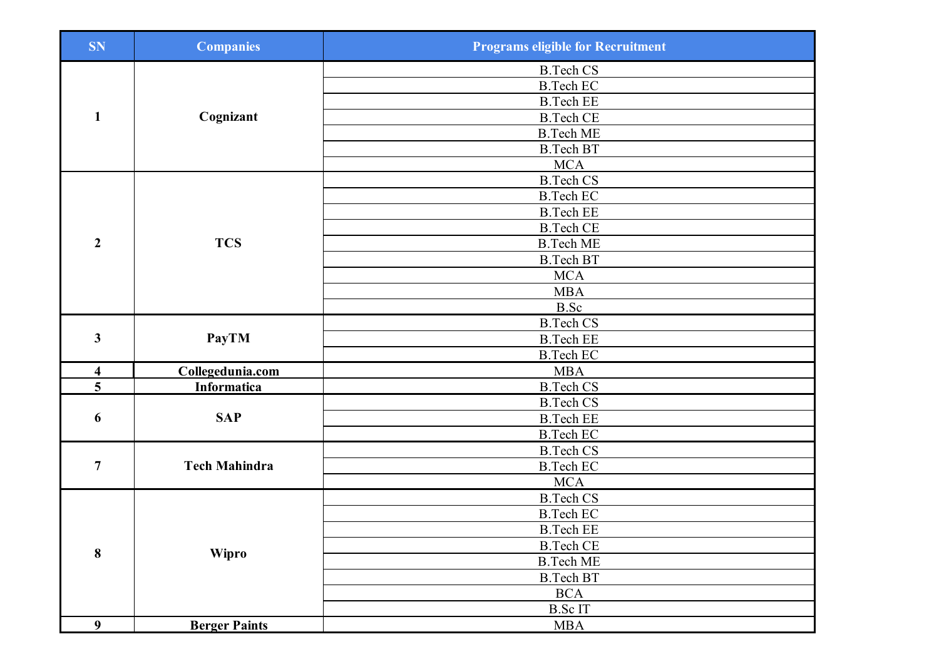| <b>SN</b>               | <b>Companies</b>     | <b>Programs eligible for Recruitment</b> |
|-------------------------|----------------------|------------------------------------------|
|                         |                      | <b>B.Tech CS</b>                         |
|                         |                      | <b>B.Tech EC</b>                         |
|                         |                      | <b>B.Tech EE</b>                         |
| $\mathbf{1}$            | Cognizant            | <b>B.Tech CE</b>                         |
|                         |                      | <b>B.Tech ME</b>                         |
|                         |                      | <b>B.Tech BT</b>                         |
|                         |                      | <b>MCA</b>                               |
|                         |                      | <b>B.Tech CS</b>                         |
|                         |                      | <b>B.Tech EC</b>                         |
|                         |                      | <b>B.Tech EE</b>                         |
|                         |                      | <b>B.Tech CE</b>                         |
| $\overline{2}$          | <b>TCS</b>           | <b>B.Tech ME</b>                         |
|                         |                      | <b>B.Tech BT</b>                         |
|                         |                      | MCA                                      |
|                         |                      | <b>MBA</b>                               |
|                         |                      | B.Sc                                     |
|                         |                      | <b>B.Tech CS</b>                         |
| $\mathbf{3}$            | <b>PayTM</b>         | <b>B.Tech EE</b>                         |
|                         |                      | <b>B.Tech EC</b>                         |
| $\overline{\mathbf{4}}$ | Collegedunia.com     | <b>MBA</b>                               |
| $\overline{\mathbf{5}}$ | <b>Informatica</b>   | <b>B.Tech CS</b>                         |
|                         |                      | <b>B.Tech CS</b>                         |
| 6                       | <b>SAP</b>           | <b>B.Tech EE</b>                         |
|                         |                      | <b>B.Tech EC</b>                         |
|                         |                      | <b>B.Tech CS</b>                         |
| $\overline{7}$          | <b>Tech Mahindra</b> | <b>B.Tech EC</b>                         |
|                         |                      | <b>MCA</b>                               |
|                         |                      | <b>B.Tech CS</b>                         |
|                         |                      | <b>B.Tech EC</b>                         |
|                         |                      | <b>B.Tech EE</b>                         |
| 8                       | <b>Wipro</b>         | <b>B.Tech CE</b>                         |
|                         |                      | <b>B.Tech ME</b>                         |
|                         |                      | <b>B.Tech BT</b>                         |
|                         |                      | <b>BCA</b>                               |
|                         |                      | <b>B.ScIT</b>                            |
| 9                       | <b>Berger Paints</b> | <b>MBA</b>                               |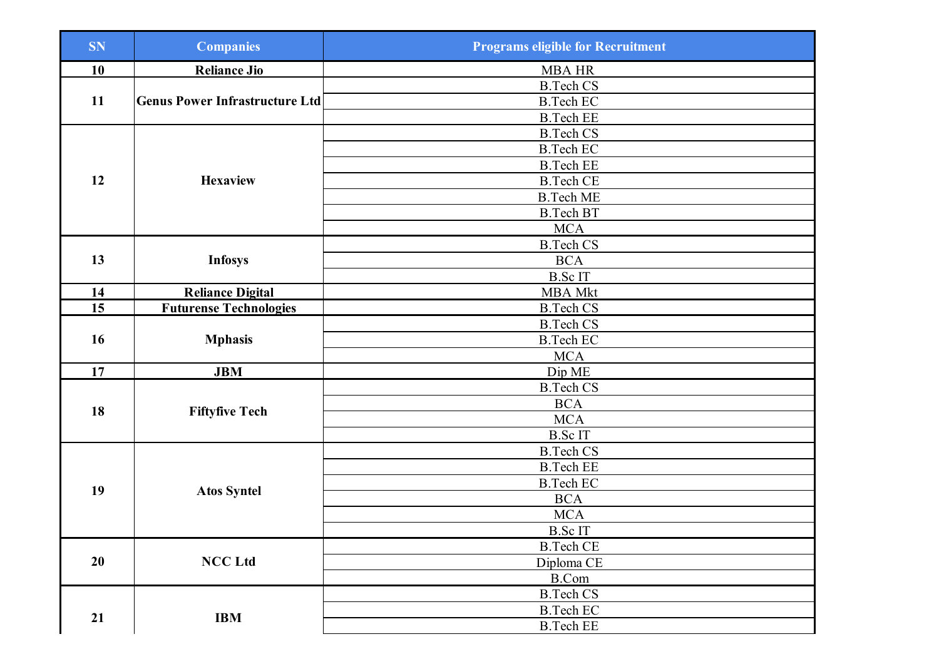| <b>SN</b> | <b>Companies</b>                      | <b>Programs eligible for Recruitment</b> |
|-----------|---------------------------------------|------------------------------------------|
| 10        | <b>Reliance Jio</b>                   | <b>MBA HR</b>                            |
|           |                                       | <b>B.Tech CS</b>                         |
| 11        | <b>Genus Power Infrastructure Ltd</b> | <b>B.Tech EC</b>                         |
|           |                                       | <b>B.Tech EE</b>                         |
|           |                                       | <b>B.Tech CS</b>                         |
|           |                                       | <b>B.Tech EC</b>                         |
|           |                                       | <b>B.Tech EE</b>                         |
| 12        | <b>Hexaview</b>                       | <b>B.Tech CE</b>                         |
|           |                                       | <b>B.Tech ME</b>                         |
|           |                                       | <b>B.Tech BT</b>                         |
|           |                                       | <b>MCA</b>                               |
|           |                                       | <b>B.Tech CS</b>                         |
| 13        | <b>Infosys</b>                        | <b>BCA</b>                               |
|           |                                       | <b>B.ScIT</b>                            |
| 14        | <b>Reliance Digital</b>               | <b>MBA Mkt</b>                           |
| 15        | <b>Futurense Technologies</b>         | <b>B.Tech CS</b>                         |
|           |                                       | <b>B.Tech CS</b>                         |
| 16        | <b>Mphasis</b>                        | <b>B.Tech EC</b>                         |
|           |                                       | <b>MCA</b>                               |
| 17        | <b>JBM</b>                            | Dip ME                                   |
|           |                                       | <b>B.Tech CS</b>                         |
| 18        |                                       | <b>BCA</b>                               |
|           | <b>Fiftyfive Tech</b>                 | $\rm MCA$                                |
|           |                                       | <b>B.ScIT</b>                            |
|           |                                       | <b>B.Tech CS</b>                         |
|           |                                       | <b>B.Tech EE</b>                         |
| 19        | <b>Atos Syntel</b>                    | <b>B.Tech EC</b>                         |
|           |                                       | <b>BCA</b>                               |
|           |                                       | <b>MCA</b>                               |
|           |                                       | <b>B.ScIT</b>                            |
|           |                                       | <b>B.Tech CE</b>                         |
| 20        | <b>NCC Ltd</b>                        | Diploma CE                               |
|           |                                       | B.Com                                    |
|           |                                       | <b>B.Tech CS</b>                         |
|           | <b>IBM</b>                            | <b>B.Tech EC</b>                         |
| 21        |                                       | <b>B.Tech EE</b>                         |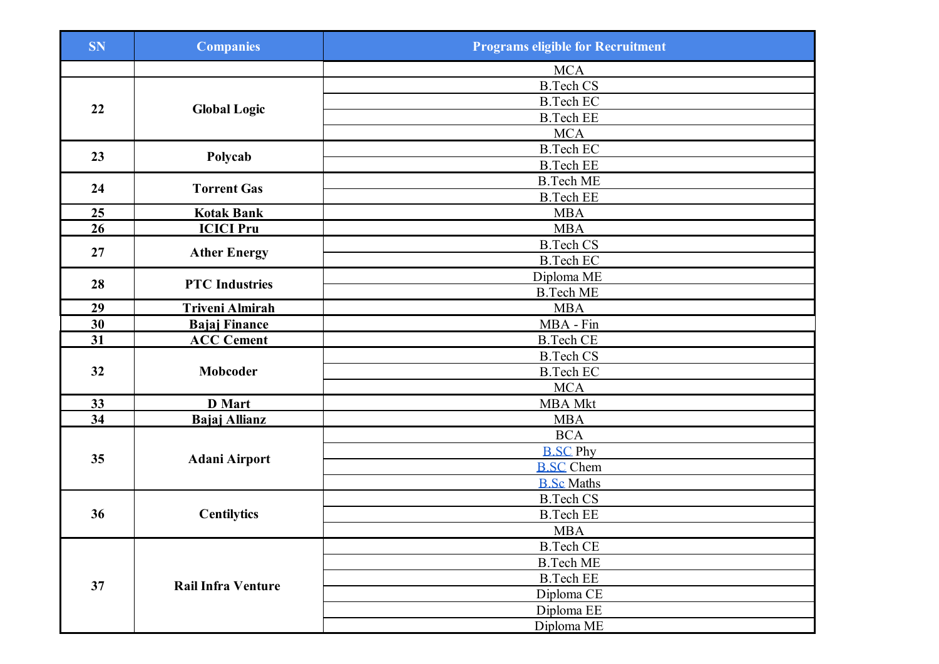| <b>SN</b> | <b>Companies</b>          | <b>Programs eligible for Recruitment</b> |
|-----------|---------------------------|------------------------------------------|
|           |                           | <b>MCA</b>                               |
|           |                           | <b>B.Tech CS</b>                         |
|           |                           | <b>B.Tech EC</b>                         |
| 22        | <b>Global Logic</b>       | <b>B.Tech EE</b>                         |
|           |                           | <b>MCA</b>                               |
| 23        |                           | <b>B.Tech EC</b>                         |
|           | Polycab                   | <b>B.Tech EE</b>                         |
| 24        | <b>Torrent Gas</b>        | <b>B.Tech ME</b>                         |
|           |                           | <b>B.Tech EE</b>                         |
| 25        | <b>Kotak Bank</b>         | <b>MBA</b>                               |
| 26        | <b>ICICI Pru</b>          | <b>MBA</b>                               |
| 27        |                           | <b>B.Tech CS</b>                         |
|           | <b>Ather Energy</b>       | <b>B.Tech EC</b>                         |
| 28        |                           | Diploma ME                               |
|           | <b>PTC</b> Industries     | <b>B.Tech ME</b>                         |
| 29        | <b>Triveni Almirah</b>    | <b>MBA</b>                               |
| 30        | <b>Bajaj Finance</b>      | MBA - Fin                                |
| 31        | <b>ACC Cement</b>         | <b>B.Tech CE</b>                         |
|           |                           | <b>B.Tech CS</b>                         |
| 32        | Mobcoder                  | <b>B.Tech EC</b>                         |
|           |                           | <b>MCA</b>                               |
| 33        | <b>D</b> Mart             | <b>MBA Mkt</b>                           |
| 34        | <b>Bajaj Allianz</b>      | <b>MBA</b>                               |
|           |                           | <b>BCA</b>                               |
| 35        |                           | <b>B.SC Phy</b>                          |
|           | <b>Adani Airport</b>      | <b>B.SC</b> Chem                         |
|           |                           | <b>B.Sc Maths</b>                        |
|           |                           | <b>B.Tech CS</b>                         |
| 36        | <b>Centilytics</b>        | <b>B.Tech EE</b>                         |
|           |                           | <b>MBA</b>                               |
|           | <b>Rail Infra Venture</b> | <b>B.Tech CE</b>                         |
|           |                           | <b>B.Tech ME</b>                         |
| 37        |                           | <b>B.Tech EE</b>                         |
|           |                           | Diploma CE                               |
|           |                           | Diploma EE                               |
|           |                           | Diploma ME                               |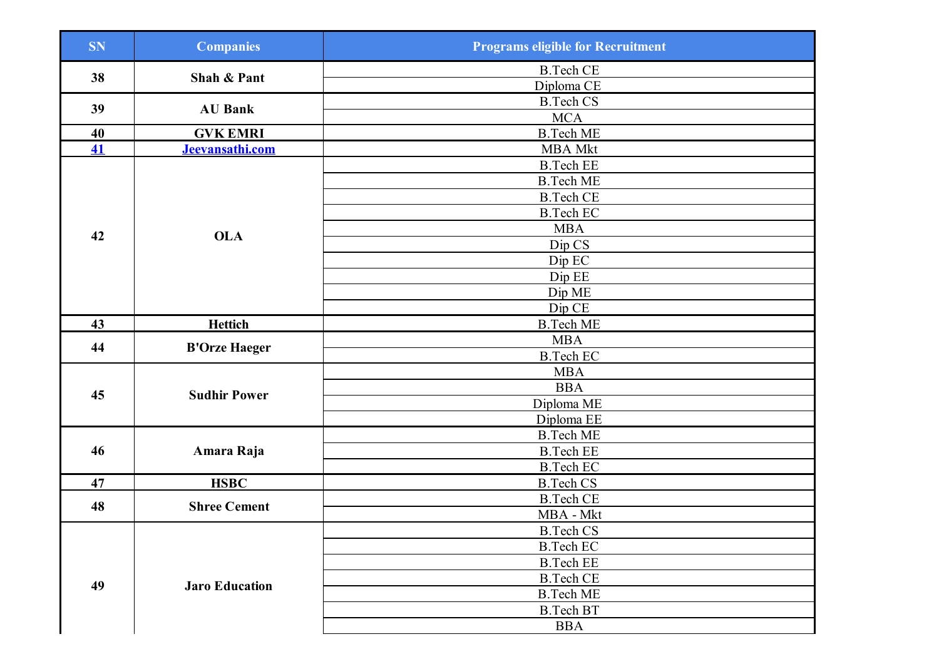| <b>SN</b>                | <b>Companies</b>      | <b>Programs eligible for Recruitment</b> |
|--------------------------|-----------------------|------------------------------------------|
| 38                       | Shah & Pant           | <b>B.Tech CE</b>                         |
|                          |                       | Diploma CE                               |
| 39                       | <b>AU Bank</b>        | <b>B.Tech CS</b>                         |
|                          |                       | <b>MCA</b>                               |
| 40                       | <b>GVK EMRI</b>       | <b>B.Tech ME</b>                         |
| $\overline{\mathbf{41}}$ | Jeevansathi.com       | <b>MBA</b> Mkt                           |
|                          |                       | <b>B.Tech EE</b>                         |
|                          |                       | <b>B.Tech ME</b>                         |
|                          |                       | <b>B.Tech CE</b>                         |
|                          |                       | <b>B.Tech EC</b>                         |
| 42                       | <b>OLA</b>            | <b>MBA</b>                               |
|                          |                       | Dip CS                                   |
|                          |                       | Dip EC                                   |
|                          |                       | Dip EE                                   |
|                          |                       | Dip ME                                   |
|                          |                       | Dip CE                                   |
| 43                       | <b>Hettich</b>        | <b>B.Tech ME</b>                         |
| 44                       | <b>B'Orze Haeger</b>  | <b>MBA</b>                               |
|                          |                       | <b>B.Tech EC</b>                         |
|                          |                       | <b>MBA</b>                               |
| 45                       | <b>Sudhir Power</b>   | <b>BBA</b>                               |
|                          |                       | Diploma ME                               |
|                          |                       | Diploma EE                               |
|                          | Amara Raja            | <b>B.Tech ME</b>                         |
| 46                       |                       | <b>B.Tech EE</b>                         |
|                          |                       | <b>B.Tech EC</b>                         |
| 47                       | <b>HSBC</b>           | <b>B.Tech CS</b>                         |
| 48                       | <b>Shree Cement</b>   | <b>B.Tech CE</b>                         |
|                          |                       | MBA - Mkt                                |
|                          |                       | <b>B.Tech CS</b>                         |
|                          |                       | <b>B.Tech EC</b>                         |
|                          |                       | <b>B.Tech EE</b>                         |
| 49                       | <b>Jaro Education</b> | <b>B.Tech CE</b>                         |
|                          |                       | <b>B.Tech ME</b>                         |
|                          |                       | <b>B.Tech BT</b>                         |
|                          |                       | <b>BBA</b>                               |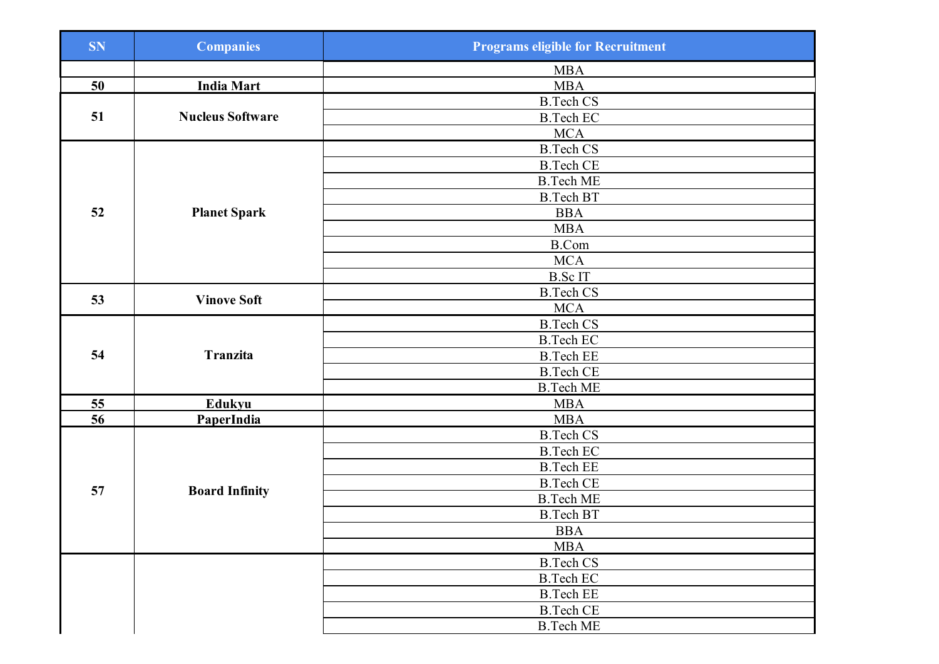| <b>SN</b> | <b>Companies</b>        | <b>Programs eligible for Recruitment</b> |
|-----------|-------------------------|------------------------------------------|
|           |                         | <b>MBA</b>                               |
| 50        | <b>India Mart</b>       | <b>MBA</b>                               |
|           |                         | <b>B.Tech CS</b>                         |
| 51        | <b>Nucleus Software</b> | <b>B.Tech EC</b>                         |
|           |                         | <b>MCA</b>                               |
|           |                         | <b>B.Tech CS</b>                         |
|           |                         | <b>B.Tech CE</b>                         |
|           |                         | <b>B.Tech ME</b>                         |
|           |                         | <b>B.Tech BT</b>                         |
| 52        | <b>Planet Spark</b>     | <b>BBA</b>                               |
|           |                         | <b>MBA</b>                               |
|           |                         | <b>B.Com</b>                             |
|           |                         | <b>MCA</b>                               |
|           |                         | <b>B.ScIT</b>                            |
| 53        | <b>Vinove Soft</b>      | <b>B.Tech CS</b>                         |
|           |                         | <b>MCA</b>                               |
|           |                         | <b>B.Tech CS</b>                         |
|           |                         | <b>B.Tech EC</b>                         |
| 54        | <b>Tranzita</b>         | <b>B.Tech EE</b>                         |
|           |                         | <b>B.Tech CE</b>                         |
|           |                         | <b>B.Tech ME</b>                         |
| 55        | Edukyu                  | <b>MBA</b>                               |
| 56        | <b>PaperIndia</b>       | <b>MBA</b>                               |
|           |                         | <b>B.Tech CS</b>                         |
|           |                         | <b>B.Tech EC</b>                         |
|           |                         | <b>B.Tech EE</b>                         |
| 57        |                         | <b>B.Tech CE</b>                         |
|           | <b>Board Infinity</b>   | <b>B.Tech ME</b>                         |
|           |                         | <b>B.Tech BT</b>                         |
|           |                         | <b>BBA</b>                               |
|           |                         | <b>MBA</b>                               |
|           |                         | <b>B.Tech CS</b>                         |
|           |                         | <b>B.Tech EC</b>                         |
|           |                         | <b>B.Tech EE</b>                         |
|           |                         | <b>B.Tech CE</b>                         |
|           |                         | <b>B.Tech ME</b>                         |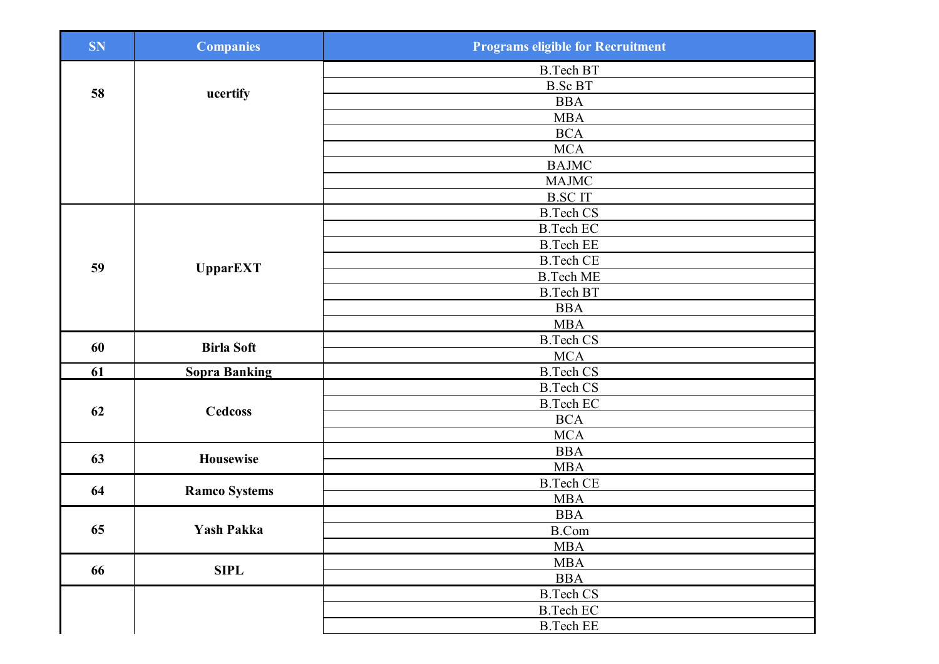| <b>SN</b> | <b>Companies</b>     | <b>Programs eligible for Recruitment</b> |
|-----------|----------------------|------------------------------------------|
|           |                      | <b>B.Tech BT</b>                         |
| 58        |                      | <b>B.Sc BT</b>                           |
|           | ucertify             | <b>BBA</b>                               |
|           |                      | <b>MBA</b>                               |
|           |                      | <b>BCA</b>                               |
|           |                      | <b>MCA</b>                               |
|           |                      | <b>BAJMC</b>                             |
|           |                      | MAJMC                                    |
|           |                      | <b>B.SCIT</b>                            |
|           |                      | <b>B.Tech CS</b>                         |
|           |                      | <b>B.Tech EC</b>                         |
|           |                      | <b>B.Tech EE</b>                         |
| 59        | <b>UpparEXT</b>      | <b>B.Tech CE</b>                         |
|           |                      | <b>B.Tech ME</b>                         |
|           |                      | <b>B.Tech BT</b>                         |
|           |                      | <b>BBA</b>                               |
|           |                      | <b>MBA</b>                               |
| 60        | <b>Birla Soft</b>    | <b>B.Tech CS</b>                         |
|           |                      | <b>MCA</b>                               |
| 61        | <b>Sopra Banking</b> | <b>B.Tech CS</b>                         |
|           | <b>Cedcoss</b>       | <b>B.Tech CS</b>                         |
| 62        |                      | <b>B.Tech EC</b>                         |
|           |                      | <b>BCA</b>                               |
|           |                      | <b>MCA</b>                               |
| 63        | Housewise            | <b>BBA</b>                               |
|           |                      | <b>MBA</b>                               |
| 64        | <b>Ramco Systems</b> | <b>B.Tech CE</b><br><b>MBA</b>           |
|           |                      | <b>BBA</b>                               |
| 65        | Yash Pakka           | <b>B.Com</b>                             |
|           |                      | <b>MBA</b>                               |
|           |                      | <b>MBA</b>                               |
| 66        | <b>SIPL</b>          | <b>BBA</b>                               |
|           |                      | <b>B.Tech CS</b>                         |
|           |                      | <b>B.Tech EC</b>                         |
|           |                      | <b>B.Tech EE</b>                         |
|           |                      |                                          |
|           |                      |                                          |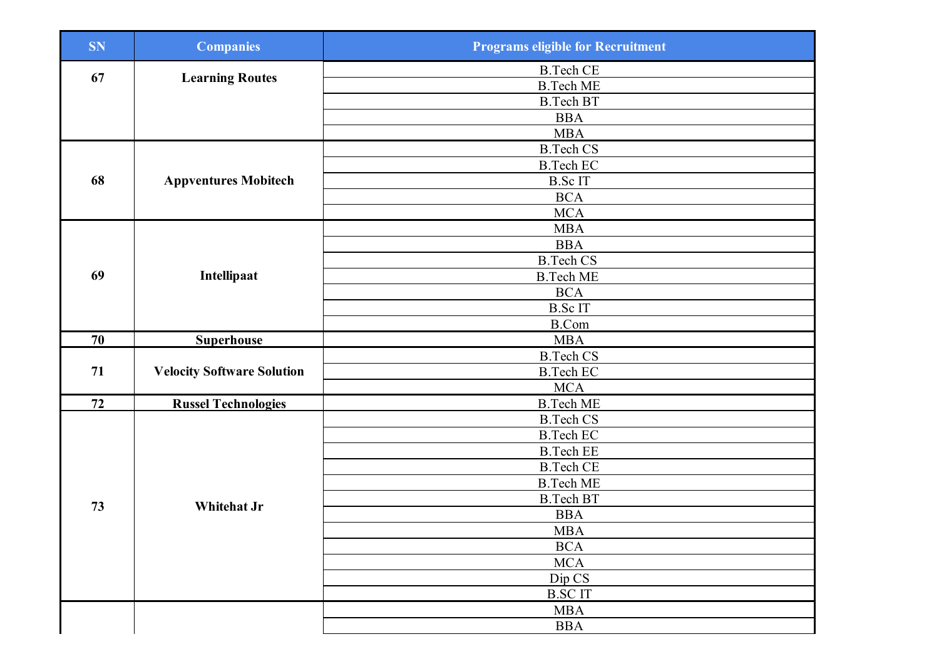| <b>SN</b> | <b>Companies</b>                  | <b>Programs eligible for Recruitment</b> |
|-----------|-----------------------------------|------------------------------------------|
| 67        |                                   | <b>B.Tech CE</b>                         |
|           | <b>Learning Routes</b>            | <b>B.Tech ME</b>                         |
|           |                                   | <b>B.Tech BT</b>                         |
|           |                                   | <b>BBA</b>                               |
|           |                                   | <b>MBA</b>                               |
|           |                                   | <b>B.</b> Tech CS                        |
|           |                                   | <b>B.Tech EC</b>                         |
| 68        | <b>Appventures Mobitech</b>       | <b>B.ScIT</b>                            |
|           |                                   | <b>BCA</b>                               |
|           |                                   | <b>MCA</b>                               |
|           |                                   | <b>MBA</b>                               |
|           |                                   | <b>BBA</b>                               |
|           |                                   | <b>B.Tech CS</b>                         |
| 69        | Intellipaat                       | <b>B.Tech ME</b>                         |
|           |                                   | <b>BCA</b>                               |
|           |                                   | <b>B.ScIT</b>                            |
|           |                                   | <b>B.Com</b>                             |
| 70        | <b>Superhouse</b>                 | <b>MBA</b>                               |
|           |                                   | <b>B.Tech CS</b>                         |
| 71        | <b>Velocity Software Solution</b> | <b>B.Tech EC</b>                         |
|           |                                   | <b>MCA</b>                               |
| 72        | <b>Russel Technologies</b>        | <b>B.Tech ME</b>                         |
|           |                                   | <b>B.Tech CS</b>                         |
|           |                                   | <b>B.Tech EC</b>                         |
|           |                                   | <b>B.Tech EE</b>                         |
|           |                                   | <b>B.Tech CE</b>                         |
|           |                                   | <b>B.Tech ME</b>                         |
| 73        | Whitehat Jr                       | <b>B.Tech BT</b>                         |
|           |                                   | <b>BBA</b>                               |
|           |                                   | <b>MBA</b>                               |
|           |                                   | <b>BCA</b>                               |
|           |                                   | MCA                                      |
|           |                                   | Dip CS                                   |
|           |                                   | <b>B.SCIT</b>                            |
|           |                                   | <b>MBA</b>                               |
|           |                                   | <b>BBA</b>                               |
|           |                                   |                                          |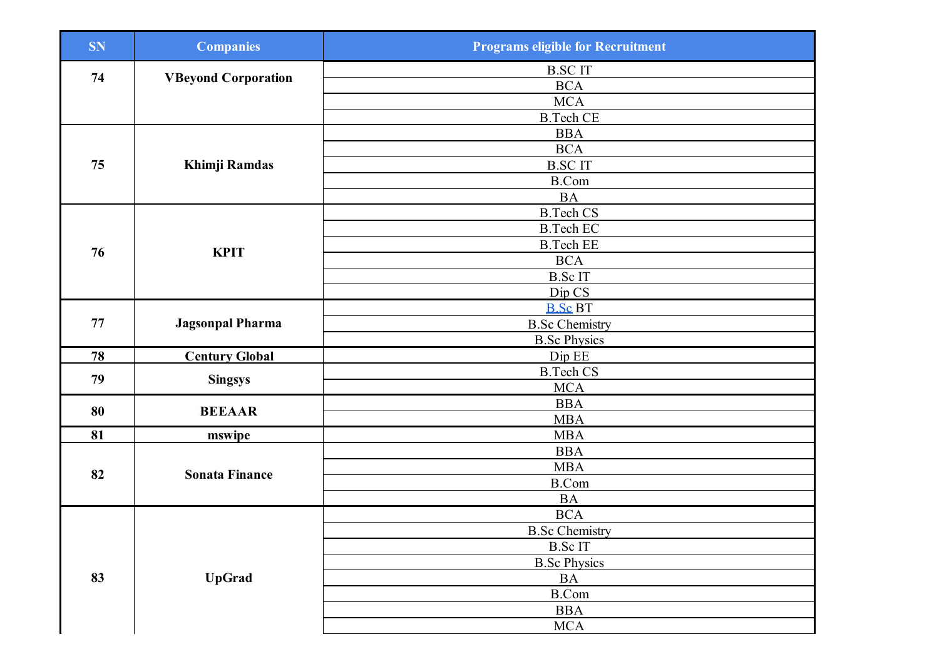| <b>SN</b> | <b>Companies</b>           | <b>Programs eligible for Recruitment</b> |
|-----------|----------------------------|------------------------------------------|
|           |                            | <b>B.SCIT</b>                            |
| 74        | <b>VBeyond Corporation</b> | <b>BCA</b>                               |
|           |                            | <b>MCA</b>                               |
|           |                            | <b>B.Tech CE</b>                         |
|           |                            | <b>BBA</b>                               |
|           |                            | <b>BCA</b>                               |
| 75        | Khimji Ramdas              | <b>B.SCIT</b>                            |
|           |                            | <b>B.Com</b>                             |
|           |                            | <b>BA</b>                                |
|           |                            | <b>B.Tech CS</b>                         |
|           |                            | <b>B.Tech EC</b>                         |
| 76        | <b>KPIT</b>                | <b>B.Tech EE</b>                         |
|           |                            | <b>BCA</b>                               |
|           |                            | B.Sc IT                                  |
|           |                            | Dip CS                                   |
|           | <b>Jagsonpal Pharma</b>    | <b>B.Sc BT</b>                           |
| 77        |                            | <b>B.Sc Chemistry</b>                    |
|           |                            | <b>B.Sc Physics</b>                      |
| 78        | <b>Century Global</b>      | Dip EE                                   |
| 79        | <b>Singsys</b>             | <b>B.Tech CS</b>                         |
|           |                            | <b>MCA</b>                               |
| 80        | <b>BEEAAR</b>              | <b>BBA</b>                               |
|           |                            | <b>MBA</b>                               |
| 81        | mswipe                     | <b>MBA</b>                               |
|           | <b>Sonata Finance</b>      | <b>BBA</b>                               |
| 82        |                            | MBA                                      |
|           |                            | <b>B.Com</b>                             |
|           |                            | <b>BA</b>                                |
|           |                            | <b>BCA</b>                               |
|           |                            | <b>B.Sc Chemistry</b>                    |
|           |                            | <b>B.ScIT</b>                            |
|           |                            | <b>B.Sc Physics</b>                      |
| 83        | <b>UpGrad</b>              | $\mathbf{BA}$                            |
|           |                            | B.Com                                    |
|           |                            | <b>BBA</b>                               |
|           |                            | <b>MCA</b>                               |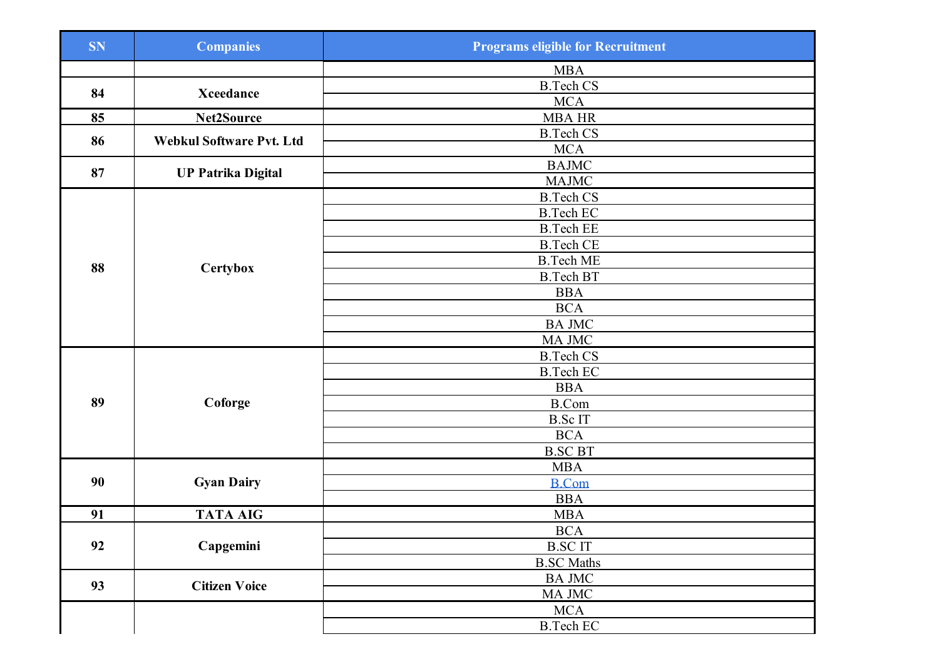| <b>SN</b> | <b>Companies</b>          | <b>Programs eligible for Recruitment</b> |
|-----------|---------------------------|------------------------------------------|
|           |                           | <b>MBA</b>                               |
| 84        | <b>Xceedance</b>          | <b>B.Tech CS</b>                         |
|           |                           | <b>MCA</b>                               |
| 85        | Net2Source                | <b>MBA HR</b>                            |
| 86        | Webkul Software Pvt. Ltd  | <b>B.Tech CS</b>                         |
|           |                           | <b>MCA</b>                               |
| 87        | <b>UP Patrika Digital</b> | <b>BAJMC</b>                             |
|           |                           | <b>MAJMC</b>                             |
|           |                           | <b>B.Tech CS</b>                         |
|           |                           | <b>B.Tech EC</b>                         |
|           |                           | <b>B.Tech EE</b>                         |
|           |                           | <b>B.Tech CE</b>                         |
| 88        | Certybox                  | <b>B.Tech ME</b>                         |
|           |                           | <b>B.Tech BT</b>                         |
|           |                           | <b>BBA</b>                               |
|           |                           | <b>BCA</b>                               |
|           |                           | <b>BA JMC</b>                            |
|           |                           | MA JMC                                   |
|           |                           | <b>B.Tech CS</b>                         |
|           |                           | <b>B.Tech EC</b>                         |
|           |                           | <b>BBA</b>                               |
| 89        | Coforge                   | <b>B.Com</b>                             |
|           |                           | <b>B.ScIT</b>                            |
|           |                           | $\rm BCA$                                |
|           |                           | <b>B.SC BT</b>                           |
|           |                           | $\operatorname{MBA}$                     |
| 90        | <b>Gyan Dairy</b>         | <b>B.Com</b>                             |
|           |                           | <b>BBA</b>                               |
| 91        | <b>TATA AIG</b>           | <b>MBA</b>                               |
|           |                           | <b>BCA</b>                               |
| 92        | Capgemini                 | <b>B.SCIT</b>                            |
|           |                           | <b>B.SC Maths</b>                        |
| 93        | <b>Citizen Voice</b>      | <b>BA JMC</b>                            |
|           |                           | MA JMC                                   |
|           |                           | <b>MCA</b>                               |
|           |                           | <b>B.Tech EC</b>                         |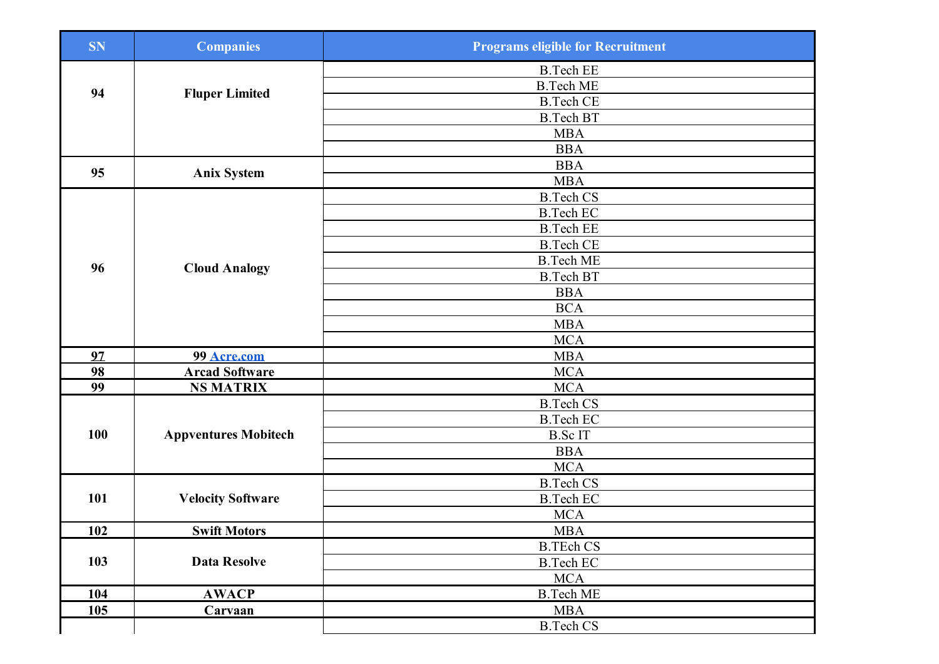| <b>SN</b>  | <b>Companies</b>            | <b>Programs eligible for Recruitment</b> |
|------------|-----------------------------|------------------------------------------|
|            |                             | <b>B.Tech EE</b>                         |
|            |                             | <b>B.Tech ME</b>                         |
| 94         | <b>Fluper Limited</b>       | <b>B.Tech CE</b>                         |
|            |                             | <b>B.Tech BT</b>                         |
|            |                             | <b>MBA</b>                               |
|            |                             | <b>BBA</b>                               |
| 95         |                             | <b>BBA</b>                               |
|            | <b>Anix System</b>          | <b>MBA</b>                               |
|            |                             | <b>B.Tech CS</b>                         |
|            |                             | <b>B.Tech EC</b>                         |
|            |                             | <b>B.Tech EE</b>                         |
|            |                             | <b>B.Tech CE</b>                         |
|            |                             | <b>B.Tech ME</b>                         |
| 96         | <b>Cloud Analogy</b>        | <b>B.Tech BT</b>                         |
|            |                             | <b>BBA</b>                               |
|            |                             | <b>BCA</b>                               |
|            |                             | <b>MBA</b>                               |
|            |                             | <b>MCA</b>                               |
| 97         | 99 Acre.com                 | <b>MBA</b>                               |
| 98         | <b>Arcad Software</b>       | <b>MCA</b>                               |
| 99         | <b>NS MATRIX</b>            | <b>MCA</b>                               |
|            |                             | <b>B.Tech CS</b>                         |
|            | <b>Appventures Mobitech</b> | <b>B.Tech EC</b>                         |
| 100        |                             | <b>B.ScIT</b>                            |
|            |                             | <b>BBA</b>                               |
|            |                             | <b>MCA</b>                               |
|            | <b>Velocity Software</b>    | <b>B.Tech CS</b>                         |
| 101        |                             | <b>B.Tech EC</b>                         |
|            |                             | <b>MCA</b>                               |
| <b>102</b> | <b>Swift Motors</b>         | <b>MBA</b>                               |
|            |                             | <b>B.TEch CS</b>                         |
| 103        | <b>Data Resolve</b>         | <b>B.Tech EC</b>                         |
|            |                             | <b>MCA</b>                               |
| <b>104</b> | <b>AWACP</b>                | <b>B.Tech ME</b>                         |
| 105        | Carvaan                     | <b>MBA</b>                               |
|            |                             | <b>B.Tech CS</b>                         |
|            |                             |                                          |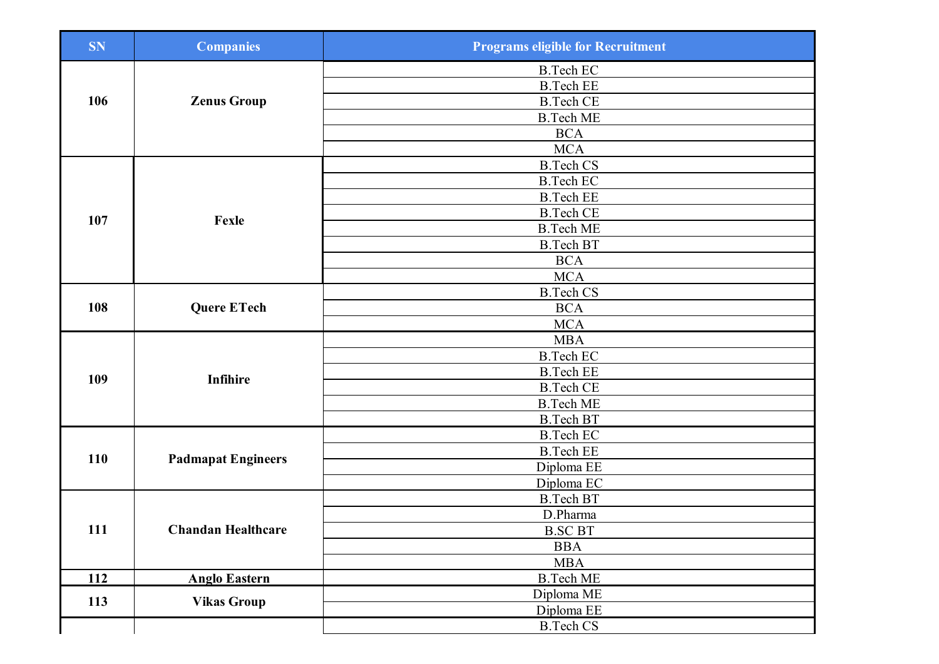| <b>SN</b>  | <b>Companies</b>          | <b>Programs eligible for Recruitment</b> |
|------------|---------------------------|------------------------------------------|
|            |                           | <b>B.Tech EC</b>                         |
|            |                           | <b>B.Tech EE</b>                         |
| 106        | <b>Zenus Group</b>        | <b>B.Tech CE</b>                         |
|            |                           | <b>B.Tech ME</b>                         |
|            |                           | <b>BCA</b>                               |
|            |                           | <b>MCA</b>                               |
|            |                           | <b>B.Tech CS</b>                         |
|            |                           | <b>B.Tech EC</b>                         |
|            |                           | <b>B.Tech EE</b>                         |
|            |                           | <b>B.Tech CE</b>                         |
| 107        | Fexle                     | <b>B.Tech ME</b>                         |
|            |                           | <b>B.Tech BT</b>                         |
|            |                           | <b>BCA</b>                               |
|            |                           | MCA                                      |
|            |                           | <b>B.Tech CS</b>                         |
| 108        | <b>Quere ETech</b>        | <b>BCA</b>                               |
|            |                           | <b>MCA</b>                               |
|            |                           | <b>MBA</b>                               |
|            |                           | <b>B.Tech EC</b>                         |
|            |                           | <b>B.Tech EE</b>                         |
| 109        | <b>Infihire</b>           | <b>B.Tech CE</b>                         |
|            |                           | <b>B.Tech ME</b>                         |
|            |                           | <b>B.Tech BT</b>                         |
|            | <b>Padmapat Engineers</b> | <b>B.Tech EC</b>                         |
|            |                           | <b>B.Tech EE</b>                         |
| 110        |                           | Diploma EE                               |
|            |                           | Diploma EC                               |
|            |                           | <b>B.Tech BT</b>                         |
|            |                           | D.Pharma                                 |
| 111        | <b>Chandan Healthcare</b> | <b>B.SC BT</b>                           |
|            |                           | <b>BBA</b>                               |
|            |                           | <b>MBA</b>                               |
| <b>112</b> | <b>Anglo Eastern</b>      | <b>B.Tech ME</b>                         |
|            |                           | Diploma ME                               |
| 113        | <b>Vikas Group</b>        | Diploma EE                               |
|            |                           | <b>B.Tech CS</b>                         |
|            |                           |                                          |
|            |                           |                                          |
|            |                           |                                          |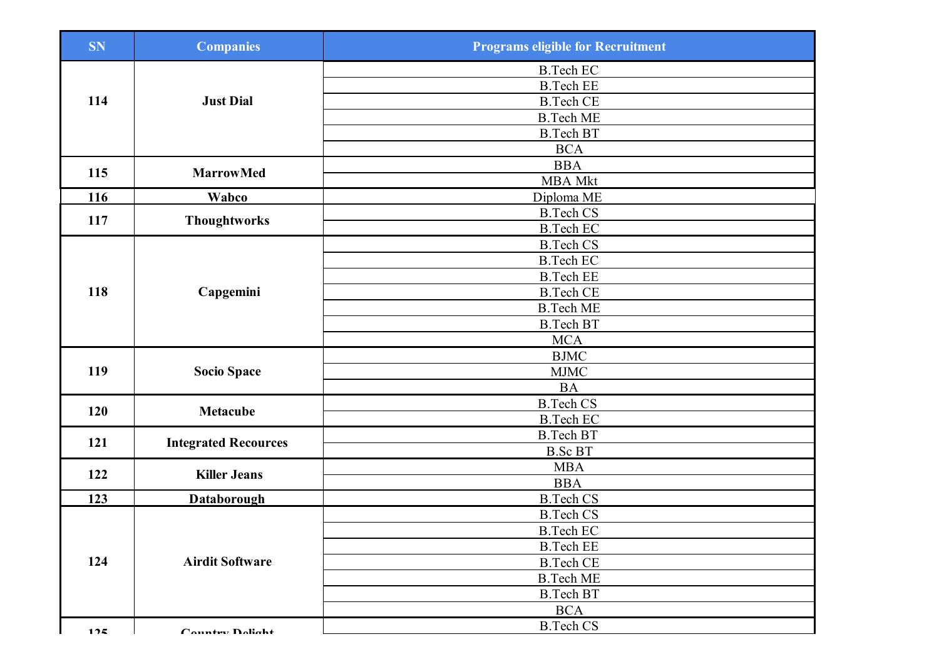| <b>SN</b> | <b>Companies</b>            | <b>Programs eligible for Recruitment</b> |
|-----------|-----------------------------|------------------------------------------|
|           |                             | <b>B.Tech EC</b>                         |
|           |                             | <b>B.Tech EE</b>                         |
| 114       | <b>Just Dial</b>            | <b>B.Tech CE</b>                         |
|           |                             | <b>B.Tech ME</b>                         |
|           |                             | <b>B.Tech BT</b>                         |
|           |                             | <b>BCA</b>                               |
| 115       | <b>MarrowMed</b>            | <b>BBA</b>                               |
|           |                             | <b>MBA</b> Mkt                           |
| 116       | Wabco                       | Diploma ME                               |
| 117       | <b>Thoughtworks</b>         | <b>B.Tech CS</b>                         |
|           |                             | <b>B.Tech EC</b>                         |
|           |                             | <b>B.Tech CS</b>                         |
|           |                             | <b>B.Tech EC</b>                         |
|           |                             | <b>B.Tech EE</b>                         |
| 118       | Capgemini                   | <b>B.Tech CE</b>                         |
|           |                             | <b>B.Tech ME</b>                         |
|           |                             | <b>B.Tech BT</b>                         |
|           |                             | <b>MCA</b>                               |
|           |                             | <b>BJMC</b>                              |
| 119       | <b>Socio Space</b>          | <b>MJMC</b>                              |
|           |                             | <b>BA</b>                                |
| 120       | <b>Metacube</b>             | <b>B.Tech CS</b>                         |
|           |                             | <b>B.Tech EC</b>                         |
| 121       | <b>Integrated Recources</b> | <b>B.Tech BT</b>                         |
|           |                             | <b>B.Sc BT</b>                           |
| 122       | <b>Killer Jeans</b>         | <b>MBA</b>                               |
|           |                             | <b>BBA</b>                               |
| 123       | <b>Databorough</b>          | <b>B.Tech CS</b>                         |
|           |                             | <b>B.Tech CS</b>                         |
|           |                             | <b>B.Tech EC</b>                         |
|           | <b>Airdit Software</b>      | <b>B.Tech EE</b>                         |
| 124       |                             | <b>B.Tech CE</b>                         |
|           |                             | <b>B.Tech ME</b>                         |
|           |                             | <b>B.Tech BT</b>                         |
|           |                             | <b>BCA</b>                               |
| 125       | Country Dolight             | <b>B.Tech CS</b>                         |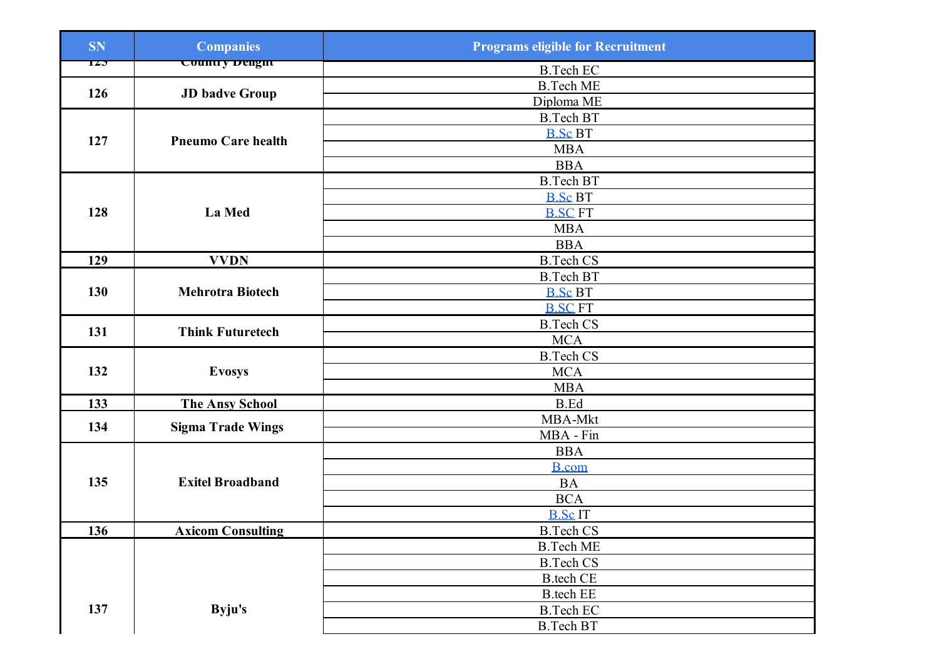| <b>SN</b> | <b>Companies</b>           | <b>Programs eligible for Recruitment</b> |
|-----------|----------------------------|------------------------------------------|
| 120       | <del>Country Dengitt</del> | <b>B.Tech EC</b>                         |
|           |                            | <b>B.Tech ME</b>                         |
| 126       | <b>JD</b> badve Group      | Diploma ME                               |
|           |                            | <b>B.Tech BT</b>                         |
|           | <b>Pneumo Care health</b>  | <b>B.Sc BT</b>                           |
| 127       |                            | <b>MBA</b>                               |
|           |                            | <b>BBA</b>                               |
|           |                            | <b>B.Tech BT</b>                         |
|           |                            | <b>B.Sc BT</b>                           |
| 128       | La Med                     | <b>B.SC FT</b>                           |
|           |                            | <b>MBA</b>                               |
|           |                            | <b>BBA</b>                               |
| 129       | <b>VVDN</b>                | <b>B.Tech CS</b>                         |
|           |                            | <b>B.Tech BT</b>                         |
| 130       | <b>Mehrotra Biotech</b>    | <b>B.Sc BT</b>                           |
|           |                            | <b>B.SC FT</b>                           |
| 131       | <b>Think Futuretech</b>    | <b>B.Tech CS</b>                         |
|           |                            | <b>MCA</b>                               |
|           |                            | <b>B.Tech CS</b>                         |
| 132       | <b>Evosys</b>              | <b>MCA</b>                               |
|           |                            | <b>MBA</b>                               |
| 133       | <b>The Ansy School</b>     | <b>B.Ed</b>                              |
| 134       | <b>Sigma Trade Wings</b>   | MBA-Mkt                                  |
|           |                            | MBA - Fin                                |
|           |                            | <b>BBA</b>                               |
|           |                            | <b>B</b> .com                            |
| 135       | <b>Exitel Broadband</b>    | <b>BA</b>                                |
|           |                            | <b>BCA</b>                               |
|           |                            | <b>B.ScIT</b>                            |
| 136       | <b>Axicom Consulting</b>   | <b>B.Tech CS</b>                         |
|           |                            | <b>B.Tech ME</b>                         |
|           |                            | <b>B.Tech CS</b>                         |
|           |                            | <b>B</b> .tech CE                        |
|           |                            | <b>B.tech EE</b>                         |
| 137       | Byju's                     | <b>B.Tech EC</b>                         |
|           |                            | <b>B.Tech BT</b>                         |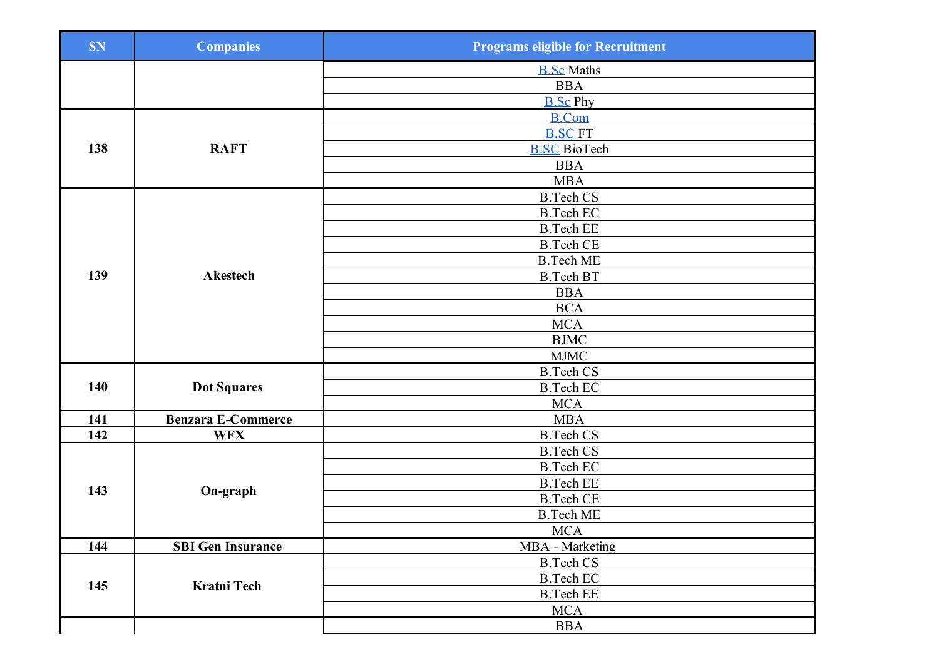| <b>SN</b>  | <b>Companies</b>          | <b>Programs eligible for Recruitment</b> |
|------------|---------------------------|------------------------------------------|
|            |                           | <b>B.Sc Maths</b>                        |
|            |                           | <b>BBA</b>                               |
|            |                           | <b>B.Sc Phy</b>                          |
|            |                           | <b>B.Com</b>                             |
|            |                           | <b>B.SC FT</b>                           |
| 138        | <b>RAFT</b>               | <b>B.SC BioTech</b>                      |
|            |                           | <b>BBA</b>                               |
|            |                           | <b>MBA</b>                               |
|            |                           | <b>B.Tech CS</b>                         |
|            |                           | <b>B.Tech EC</b>                         |
|            |                           | <b>B.Tech EE</b>                         |
|            |                           | <b>B.Tech CE</b>                         |
|            |                           | <b>B.Tech ME</b>                         |
| 139        | <b>Akestech</b>           | <b>B.Tech BT</b>                         |
|            |                           | <b>BBA</b>                               |
|            |                           | <b>BCA</b>                               |
|            |                           | <b>MCA</b>                               |
|            |                           | $\operatorname{BJMC}$                    |
|            |                           | <b>MJMC</b>                              |
|            |                           | <b>B.Tech CS</b>                         |
| 140        | <b>Dot Squares</b>        | <b>B.Tech EC</b>                         |
|            |                           | <b>MCA</b>                               |
| 141        | <b>Benzara E-Commerce</b> | <b>MBA</b>                               |
| 142        | <b>WFX</b>                | <b>B.Tech CS</b>                         |
|            | On-graph                  | <b>B.Tech CS</b>                         |
|            |                           | <b>B.Tech EC</b>                         |
|            |                           | <b>B.Tech EE</b>                         |
| 143        |                           | <b>B.Tech CE</b>                         |
|            |                           | <b>B.Tech ME</b>                         |
|            |                           | <b>MCA</b>                               |
| <b>144</b> | <b>SBI Gen Insurance</b>  | <b>MBA</b> - Marketing                   |
|            |                           | <b>B.Tech CS</b>                         |
|            | Kratni Tech               | <b>B.Tech EC</b>                         |
| 145        |                           | <b>B.Tech EE</b>                         |
|            |                           | <b>MCA</b>                               |
|            |                           | <b>BBA</b>                               |
|            |                           |                                          |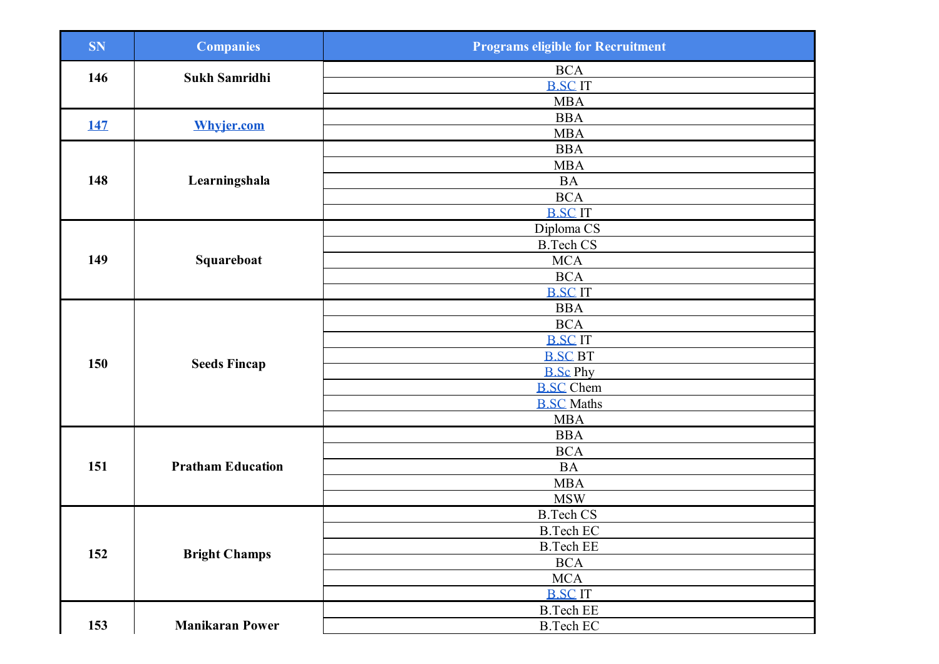| <b>SN</b>  | <b>Companies</b>         | <b>Programs eligible for Recruitment</b> |
|------------|--------------------------|------------------------------------------|
| 146        | Sukh Samridhi            | $\rm BCA$                                |
|            |                          | <b>B.SCIT</b>                            |
|            |                          | <b>MBA</b>                               |
| <u>147</u> | <b>Whyjer.com</b>        | <b>BBA</b>                               |
|            |                          | <b>MBA</b>                               |
|            |                          | <b>BBA</b>                               |
|            |                          | <b>MBA</b>                               |
| 148        | Learningshala            | <b>BA</b>                                |
|            |                          | <b>BCA</b>                               |
|            |                          | <b>B.SCIT</b>                            |
|            |                          | Diploma <sub>CS</sub>                    |
|            |                          | <b>B.Tech CS</b>                         |
| 149        | Squareboat               | <b>MCA</b>                               |
|            |                          | <b>BCA</b>                               |
|            |                          | <b>B.SCIT</b>                            |
|            |                          | <b>BBA</b>                               |
|            |                          | $\rm BCA$                                |
|            | <b>Seeds Fincap</b>      | <b>B.SCIT</b>                            |
| 150        |                          | <b>B.SC BT</b>                           |
|            |                          | <b>B.Sc Phy</b>                          |
|            |                          | <b>B.SC</b> Chem                         |
|            |                          | <b>B.SC Maths</b>                        |
|            |                          | <b>MBA</b>                               |
|            | <b>Pratham Education</b> | <b>BBA</b>                               |
|            |                          | <b>BCA</b>                               |
| 151        |                          | $\rm BA$                                 |
|            |                          | <b>MBA</b>                               |
|            |                          | <b>MSW</b>                               |
|            |                          | <b>B.Tech CS</b>                         |
|            |                          | <b>B.Tech EC</b>                         |
| 152        | <b>Bright Champs</b>     | <b>B.Tech EE</b>                         |
|            |                          | <b>BCA</b>                               |
|            |                          | <b>MCA</b>                               |
|            |                          | <b>B.SCIT</b>                            |
|            |                          | <b>B.Tech EE</b>                         |
| 153        | <b>Manikaran Power</b>   | <b>B.Tech EC</b>                         |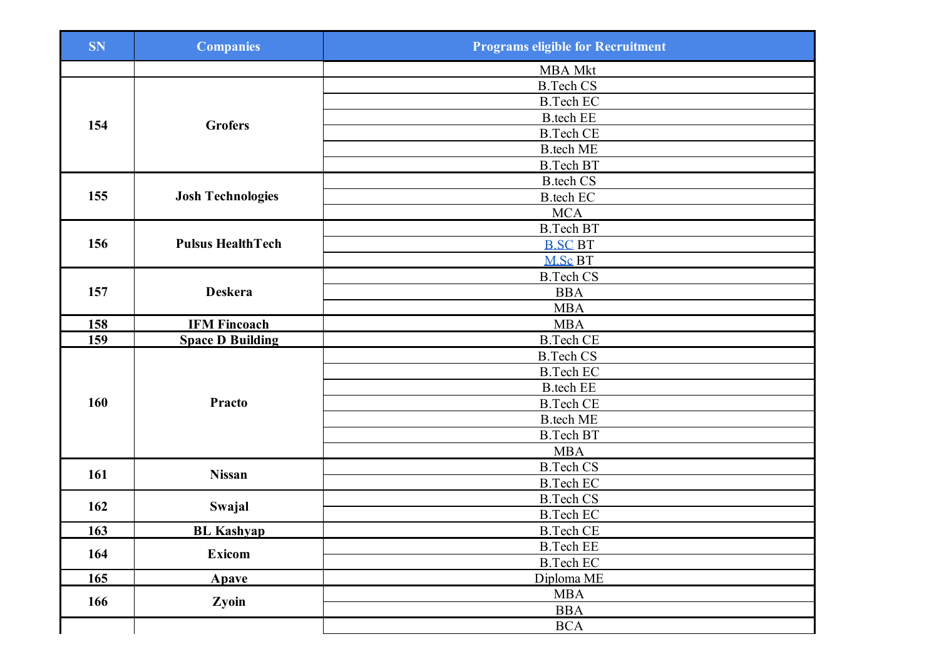| <b>SN</b>  | <b>Companies</b>         | <b>Programs eligible for Recruitment</b> |
|------------|--------------------------|------------------------------------------|
|            |                          | <b>MBA Mkt</b>                           |
|            |                          | <b>B.Tech CS</b>                         |
|            | <b>Grofers</b>           | <b>B.Tech EC</b>                         |
| 154        |                          | <b>B.tech EE</b>                         |
|            |                          | <b>B.Tech CE</b>                         |
|            |                          | <b>B.tech ME</b>                         |
|            |                          | <b>B.Tech BT</b>                         |
|            |                          | <b>B.tech CS</b>                         |
| 155        | <b>Josh Technologies</b> | <b>B</b> .tech EC                        |
|            |                          | <b>MCA</b>                               |
|            |                          | <b>B.Tech BT</b>                         |
| 156        | <b>Pulsus HealthTech</b> | <b>B.SC BT</b>                           |
|            |                          | M.Sc BT                                  |
|            |                          | <b>B.Tech CS</b>                         |
| 157        | <b>Deskera</b>           | <b>BBA</b>                               |
|            |                          | <b>MBA</b>                               |
| 158        | <b>IFM Fincoach</b>      | <b>MBA</b>                               |
| 159        | <b>Space D Building</b>  | <b>B.Tech CE</b>                         |
|            |                          | <b>B.Tech CS</b>                         |
|            |                          | <b>B.Tech EC</b>                         |
|            |                          | <b>B.tech EE</b>                         |
| 160        | <b>Practo</b>            | <b>B.Tech CE</b>                         |
|            |                          | <b>B.tech ME</b>                         |
|            |                          | <b>B.Tech BT</b>                         |
|            |                          | <b>MBA</b>                               |
| 161        | <b>Nissan</b>            | <b>B.Tech CS</b>                         |
|            |                          | <b>B.Tech EC</b>                         |
| 162        |                          | <b>B.Tech CS</b>                         |
|            | Swajal                   | <b>B.Tech EC</b>                         |
| <b>163</b> | <b>BL</b> Kashyap        | <b>B.Tech CE</b>                         |
| 164        | <b>Exicom</b>            | <b>B.Tech EE</b>                         |
|            |                          | <b>B.Tech EC</b>                         |
| 165        | Apave                    | Diploma ME                               |
| 166        | Zyoin                    | <b>MBA</b>                               |
|            |                          | <b>BBA</b>                               |
|            |                          | <b>BCA</b>                               |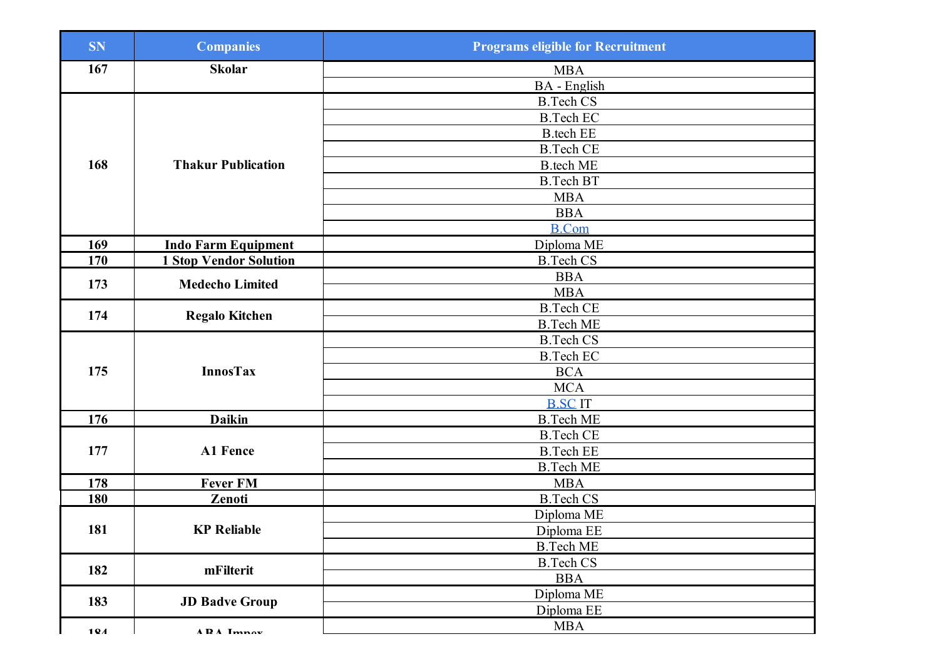| <b>SN</b> | <b>Companies</b>              | <b>Programs eligible for Recruitment</b> |
|-----------|-------------------------------|------------------------------------------|
| 167       | <b>Skolar</b>                 | <b>MBA</b>                               |
|           |                               | <b>BA</b> - English                      |
|           |                               | <b>B.Tech CS</b>                         |
|           |                               | <b>B.Tech EC</b>                         |
|           |                               | <b>B</b> .tech EE                        |
|           |                               | <b>B.Tech CE</b>                         |
| 168       | <b>Thakur Publication</b>     | <b>B.tech ME</b>                         |
|           |                               | <b>B.Tech BT</b>                         |
|           |                               | <b>MBA</b>                               |
|           |                               | <b>BBA</b>                               |
|           |                               | <b>B.Com</b>                             |
| 169       | <b>Indo Farm Equipment</b>    | Diploma ME                               |
| 170       | <b>1 Stop Vendor Solution</b> | <b>B.Tech CS</b>                         |
| 173       | <b>Medecho Limited</b>        | <b>BBA</b>                               |
|           |                               | <b>MBA</b>                               |
| 174       | <b>Regalo Kitchen</b>         | <b>B.Tech CE</b>                         |
|           |                               | <b>B.Tech ME</b>                         |
|           |                               | <b>B.Tech CS</b>                         |
|           | <b>InnosTax</b>               | <b>B.Tech EC</b>                         |
| 175       |                               | <b>BCA</b>                               |
|           |                               | <b>MCA</b>                               |
|           |                               | <b>B.SCIT</b>                            |
| 176       | <b>Daikin</b>                 | <b>B.Tech ME</b>                         |
|           | <b>A1 Fence</b>               | <b>B.Tech CE</b>                         |
| 177       |                               | <b>B.Tech EE</b>                         |
|           |                               | <b>B.Tech ME</b>                         |
| 178       | <b>Fever FM</b>               | <b>MBA</b>                               |
| 180       | Zenoti                        | <b>B.Tech CS</b>                         |
|           |                               | Diploma ME                               |
| 181       | <b>KP Reliable</b>            | Diploma EE                               |
|           |                               | <b>B.Tech ME</b>                         |
| 182       | mFilterit                     | <b>B.Tech CS</b>                         |
|           |                               | <b>BBA</b>                               |
| 183       | <b>JD Badve Group</b>         | Diploma ME                               |
|           |                               | Diploma EE                               |
| 104       | <b>ADA</b> Imnov              | <b>MBA</b>                               |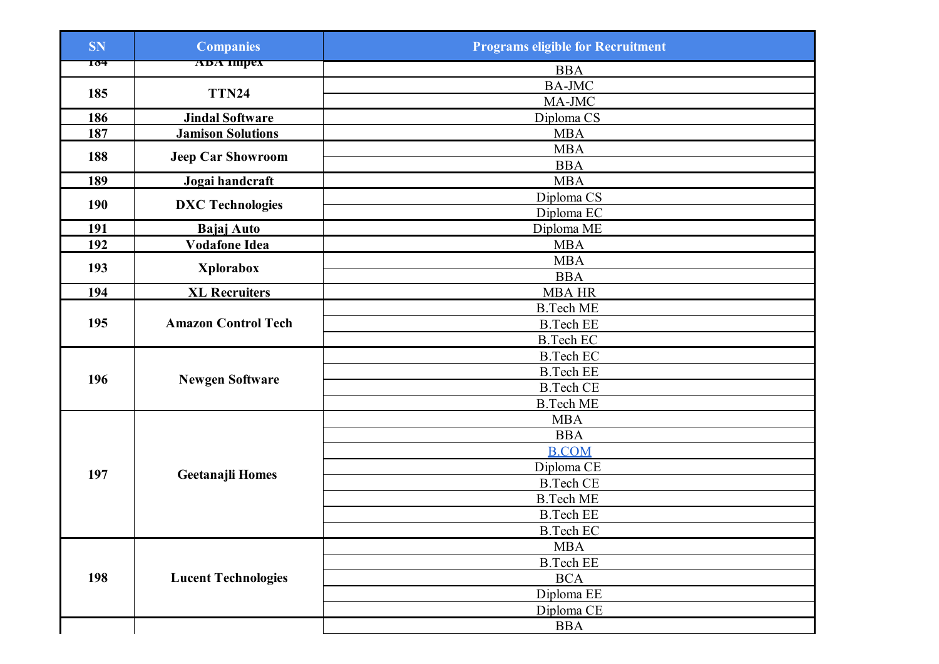| <b>SN</b> | <b>Companies</b>           | <b>Programs eligible for Recruitment</b> |
|-----------|----------------------------|------------------------------------------|
| 104       | ADA HIIPEX                 | <b>BBA</b>                               |
|           |                            | <b>BA-JMC</b>                            |
| 185       | TTN24                      | MA-JMC                                   |
| 186       | <b>Jindal Software</b>     | Diploma CS                               |
| 187       | <b>Jamison Solutions</b>   | <b>MBA</b>                               |
| 188       |                            | <b>MBA</b>                               |
|           | <b>Jeep Car Showroom</b>   | <b>BBA</b>                               |
| 189       | Jogai handcraft            | <b>MBA</b>                               |
| 190       | <b>DXC</b> Technologies    | Diploma CS                               |
|           |                            | Diploma EC                               |
| 191       | <b>Bajaj Auto</b>          | Diploma ME                               |
| 192       | <b>Vodafone Idea</b>       | <b>MBA</b>                               |
| 193       | <b>Xplorabox</b>           | <b>MBA</b>                               |
|           |                            | <b>BBA</b>                               |
| 194       | <b>XL Recruiters</b>       | <b>MBA HR</b>                            |
|           |                            | <b>B.Tech ME</b>                         |
| 195       | <b>Amazon Control Tech</b> | <b>B.Tech EE</b>                         |
|           |                            | <b>B.Tech EC</b>                         |
|           |                            | <b>B.Tech EC</b>                         |
| 196       | <b>Newgen Software</b>     | <b>B.Tech EE</b>                         |
|           |                            | <b>B.Tech CE</b>                         |
|           |                            | <b>B.Tech ME</b>                         |
|           |                            | <b>MBA</b>                               |
|           | <b>Geetanajli Homes</b>    | <b>BBA</b>                               |
|           |                            | <b>B.COM</b>                             |
| 197       |                            | Diploma CE                               |
|           |                            | <b>B.Tech CE</b>                         |
|           |                            | <b>B.Tech ME</b>                         |
|           |                            | <b>B.Tech EE</b>                         |
|           |                            | <b>B.Tech EC</b>                         |
|           |                            | <b>MBA</b>                               |
|           |                            | <b>B.Tech EE</b>                         |
| 198       | <b>Lucent Technologies</b> | <b>BCA</b>                               |
|           |                            | Diploma EE                               |
|           |                            | Diploma CE                               |
|           |                            | <b>BBA</b>                               |
|           |                            |                                          |
|           |                            |                                          |
|           |                            |                                          |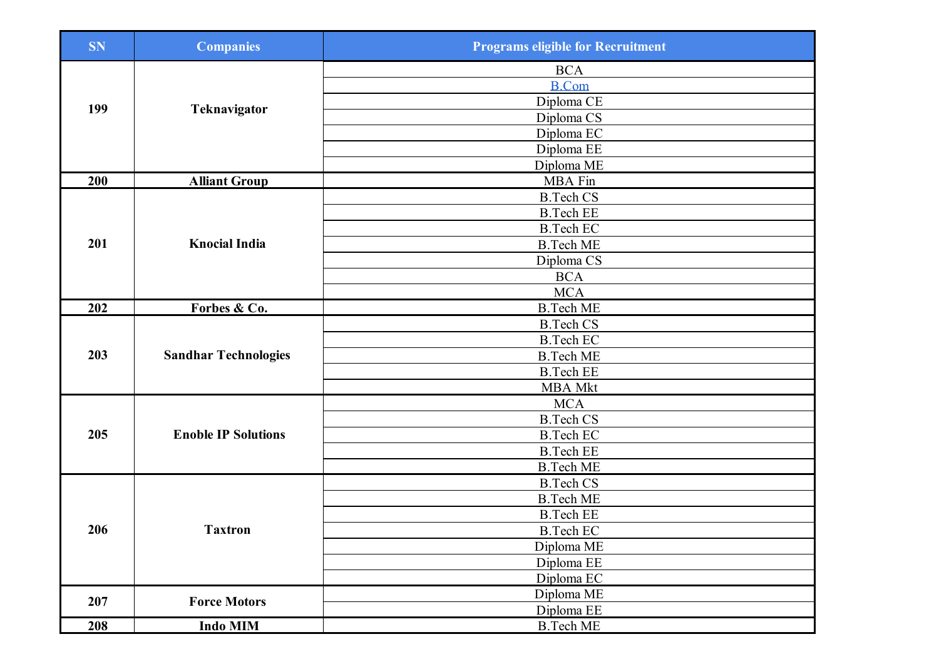| <b>SN</b> | <b>Companies</b>            | <b>Programs eligible for Recruitment</b> |
|-----------|-----------------------------|------------------------------------------|
| 199       |                             | <b>BCA</b>                               |
|           |                             | <b>B.Com</b>                             |
|           |                             | Diploma CE                               |
|           | Teknavigator                | Diploma CS                               |
|           |                             | Diploma EC                               |
|           |                             | Diploma EE                               |
|           |                             | Diploma ME                               |
| 200       | <b>Alliant Group</b>        | <b>MBA</b> Fin                           |
|           |                             | <b>B.Tech CS</b>                         |
|           |                             | <b>B.Tech EE</b>                         |
|           |                             | <b>B.Tech EC</b>                         |
| 201       | <b>Knocial India</b>        | <b>B.Tech ME</b>                         |
|           |                             | Diploma CS                               |
|           |                             | <b>BCA</b>                               |
|           |                             | <b>MCA</b>                               |
| 202       | Forbes & Co.                | <b>B.Tech ME</b>                         |
|           |                             | <b>B.Tech CS</b>                         |
|           |                             | <b>B.Tech EC</b>                         |
| 203       | <b>Sandhar Technologies</b> | <b>B.Tech ME</b>                         |
|           |                             | <b>B.Tech EE</b>                         |
|           |                             | <b>MBA</b> Mkt                           |
|           | <b>Enoble IP Solutions</b>  | <b>MCA</b>                               |
|           |                             | <b>B.Tech CS</b>                         |
| 205       |                             | <b>B.Tech EC</b>                         |
|           |                             | <b>B.Tech EE</b>                         |
|           |                             | <b>B.Tech ME</b>                         |
|           |                             | <b>B.Tech CS</b>                         |
|           |                             | <b>B.Tech ME</b>                         |
|           | <b>Taxtron</b>              | <b>B.Tech EE</b>                         |
| 206       |                             | <b>B.Tech EC</b>                         |
|           |                             | Diploma ME                               |
|           |                             | Diploma EE                               |
|           |                             | Diploma EC                               |
| 207       | <b>Force Motors</b>         | Diploma ME                               |
|           |                             | Diploma EE                               |
| 208       | <b>Indo MIM</b>             | <b>B.Tech ME</b>                         |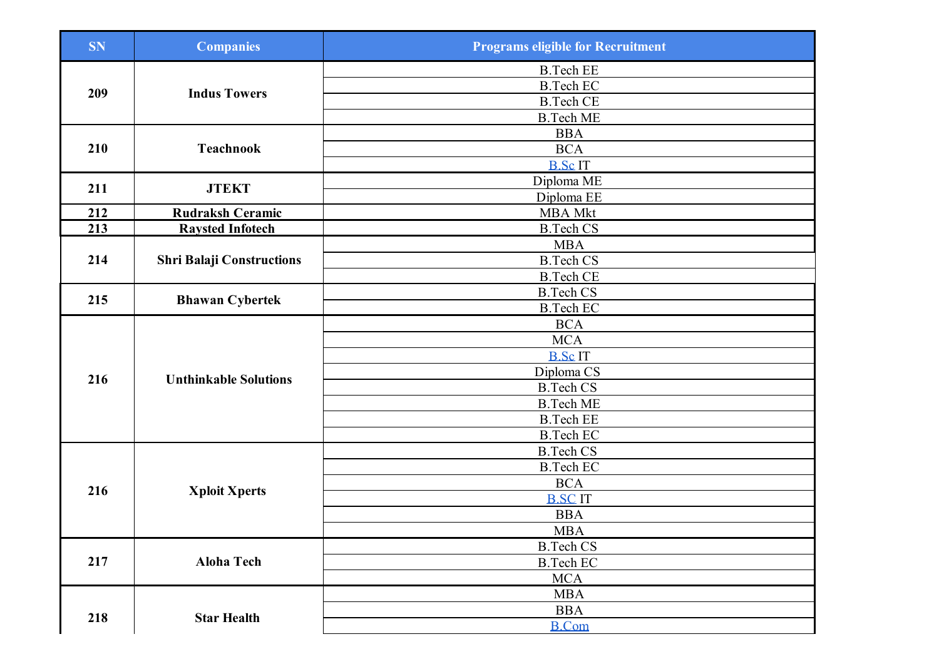| <b>SN</b> | <b>Companies</b>                 | <b>Programs eligible for Recruitment</b> |
|-----------|----------------------------------|------------------------------------------|
| 209       |                                  | <b>B.Tech EE</b>                         |
|           |                                  | <b>B.Tech EC</b>                         |
|           | <b>Indus Towers</b>              | <b>B.Tech CE</b>                         |
|           |                                  | <b>B.Tech ME</b>                         |
|           |                                  | <b>BBA</b>                               |
| 210       | <b>Teachnook</b>                 | <b>BCA</b>                               |
|           |                                  | <b>B.ScIT</b>                            |
| 211       | <b>JTEKT</b>                     | Diploma ME                               |
|           |                                  | Diploma EE                               |
| 212       | <b>Rudraksh Ceramic</b>          | <b>MBA Mkt</b>                           |
| 213       | <b>Raysted Infotech</b>          | <b>B.Tech CS</b>                         |
|           |                                  | <b>MBA</b>                               |
| 214       | <b>Shri Balaji Constructions</b> | <b>B.Tech CS</b>                         |
|           |                                  | <b>B.Tech CE</b>                         |
| 215       | <b>Bhawan Cybertek</b>           | <b>B.Tech CS</b>                         |
|           |                                  | <b>B.Tech EC</b>                         |
|           |                                  | <b>BCA</b>                               |
|           |                                  | <b>MCA</b>                               |
|           |                                  | <b>B.ScIT</b>                            |
| 216       | <b>Unthinkable Solutions</b>     | Diploma CS                               |
|           |                                  | <b>B.Tech CS</b>                         |
|           |                                  | <b>B.Tech ME</b>                         |
|           |                                  | <b>B.Tech EE</b>                         |
|           |                                  | <b>B.Tech EC</b>                         |
|           | <b>Xploit Xperts</b>             | <b>B.Tech CS</b>                         |
|           |                                  | <b>B.Tech EC</b>                         |
| 216       |                                  | $\rm BCA$                                |
|           |                                  | <b>B.SCIT</b>                            |
|           |                                  | <b>BBA</b>                               |
|           |                                  | <b>MBA</b>                               |
| 217       |                                  | <b>B.Tech CS</b>                         |
|           | <b>Aloha Tech</b>                | <b>B.Tech EC</b>                         |
|           |                                  | <b>MCA</b>                               |
|           | <b>Star Health</b>               | <b>MBA</b>                               |
| 218       |                                  | <b>BBA</b>                               |
|           |                                  | <b>B.Com</b>                             |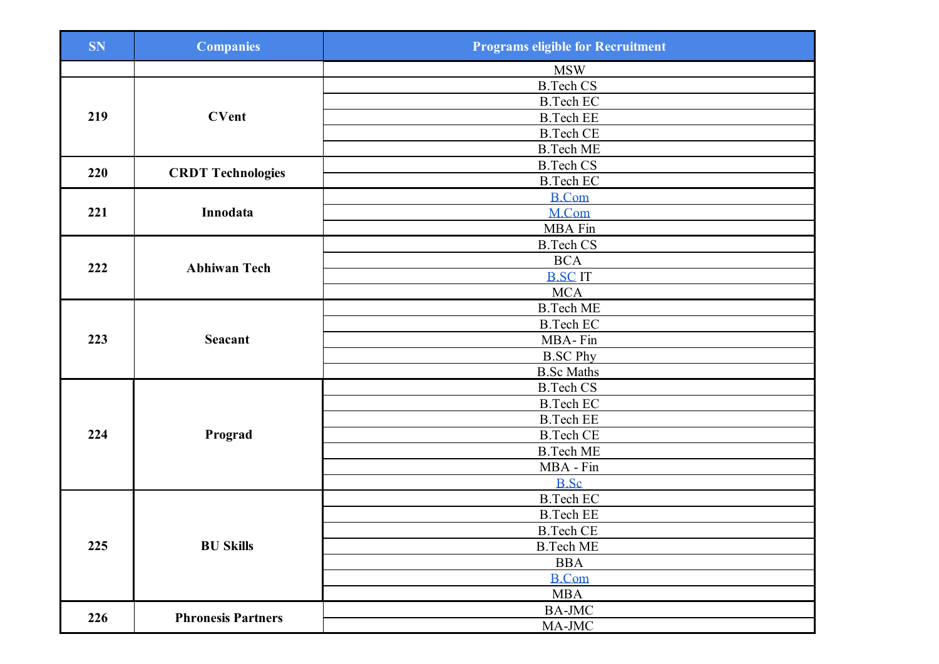| <b>SN</b> | <b>Companies</b>          | <b>Programs eligible for Recruitment</b> |
|-----------|---------------------------|------------------------------------------|
|           |                           | <b>MSW</b>                               |
| 219       |                           | <b>B.Tech CS</b>                         |
|           |                           | <b>B.Tech EC</b>                         |
|           | <b>CVent</b>              | <b>B.Tech EE</b>                         |
|           |                           | <b>B.Tech CE</b>                         |
|           |                           | <b>B.Tech ME</b>                         |
| 220       |                           | <b>B.Tech CS</b>                         |
|           | <b>CRDT Technologies</b>  | <b>B.Tech EC</b>                         |
|           |                           | <b>B.Com</b>                             |
| 221       | Innodata                  | M.Com                                    |
|           |                           | MBA Fin                                  |
|           |                           | <b>B.Tech CS</b>                         |
| 222       | <b>Abhiwan Tech</b>       | <b>BCA</b>                               |
|           |                           | <b>B.SC IT</b>                           |
|           |                           | <b>MCA</b>                               |
|           |                           | <b>B.Tech ME</b>                         |
|           |                           | <b>B.Tech EC</b>                         |
| 223       | <b>Seacant</b>            | MBA-Fin                                  |
|           |                           | <b>B.SC Phy</b>                          |
|           |                           | <b>B.Sc Maths</b>                        |
|           | Prograd                   | <b>B.Tech CS</b>                         |
|           |                           | <b>B.Tech EC</b>                         |
|           |                           | <b>B.Tech EE</b>                         |
| 224       |                           | <b>B.Tech CE</b>                         |
|           |                           | <b>B.Tech ME</b>                         |
|           |                           | MBA - Fin                                |
|           |                           | <b>B.Sc</b>                              |
|           |                           | <b>B.Tech EC</b>                         |
| 225       |                           | <b>B.Tech EE</b>                         |
|           |                           | <b>B.Tech CE</b>                         |
|           | <b>BU Skills</b>          | <b>B.Tech ME</b>                         |
|           |                           | <b>BBA</b>                               |
|           |                           | <b>B.Com</b>                             |
|           |                           | <b>MBA</b>                               |
|           | <b>Phronesis Partners</b> | <b>BA-JMC</b>                            |
| 226       |                           | MA-JMC                                   |